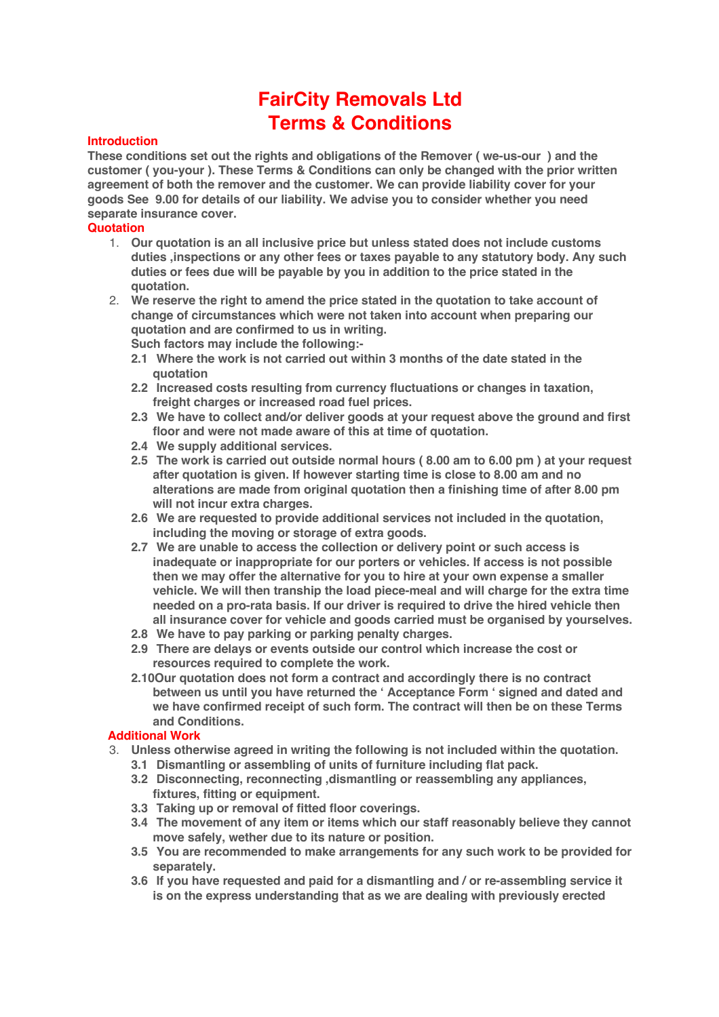# **FairCity Removals Ltd Terms & Conditions**

## **Introduction**

**These conditions set out the rights and obligations of the Remover ( we-us-our ) and the customer ( you-your ). These Terms & Conditions can only be changed with the prior written agreement of both the remover and the customer. We can provide liability cover for your goods See 9.00 for details of our liability. We advise you to consider whether you need separate insurance cover.**

#### **Quotation**

- 1. **Our quotation is an all inclusive price but unless stated does not include customs duties ,inspections or any other fees or taxes payable to any statutory body. Any such duties or fees due will be payable by you in addition to the price stated in the quotation.**
- 2. **We reserve the right to amend the price stated in the quotation to take account of change of circumstances which were not taken into account when preparing our quotation and are confirmed to us in writing.**
	- **Such factors may include the following:-**
	- **2.1 Where the work is not carried out within 3 months of the date stated in the quotation**
	- **2.2 Increased costs resulting from currency fluctuations or changes in taxation, freight charges or increased road fuel prices.**
	- **2.3 We have to collect and/or deliver goods at your request above the ground and first floor and were not made aware of this at time of quotation.**
	- **2.4 We supply additional services.**
	- **2.5 The work is carried out outside normal hours ( 8.00 am to 6.00 pm ) at your request after quotation is given. If however starting time is close to 8.00 am and no alterations are made from original quotation then a finishing time of after 8.00 pm will not incur extra charges.**
	- **2.6 We are requested to provide additional services not included in the quotation, including the moving or storage of extra goods.**
	- **2.7 We are unable to access the collection or delivery point or such access is inadequate or inappropriate for our porters or vehicles. If access is not possible then we may offer the alternative for you to hire at your own expense a smaller vehicle. We will then tranship the load piece-meal and will charge for the extra time needed on a pro-rata basis. If our driver is required to drive the hired vehicle then all insurance cover for vehicle and goods carried must be organised by yourselves.**
	- **2.8 We have to pay parking or parking penalty charges.**
	- **2.9 There are delays or events outside our control which increase the cost or resources required to complete the work.**
	- **2.10Our quotation does not form a contract and accordingly there is no contract between us until you have returned the ' Acceptance Form ' signed and dated and we have confirmed receipt of such form. The contract will then be on these Terms and Conditions.**

## **Additional Work**

- 3. **Unless otherwise agreed in writing the following is not included within the quotation.**
	- **3.1 Dismantling or assembling of units of furniture including flat pack.**
	- **3.2 Disconnecting, reconnecting ,dismantling or reassembling any appliances, fixtures, fitting or equipment.**
	- **3.3 Taking up or removal of fitted floor coverings.**
	- **3.4 The movement of any item or items which our staff reasonably believe they cannot move safely, wether due to its nature or position.**
	- **3.5 You are recommended to make arrangements for any such work to be provided for separately.**
	- **3.6 If you have requested and paid for a dismantling and / or re-assembling service it is on the express understanding that as we are dealing with previously erected**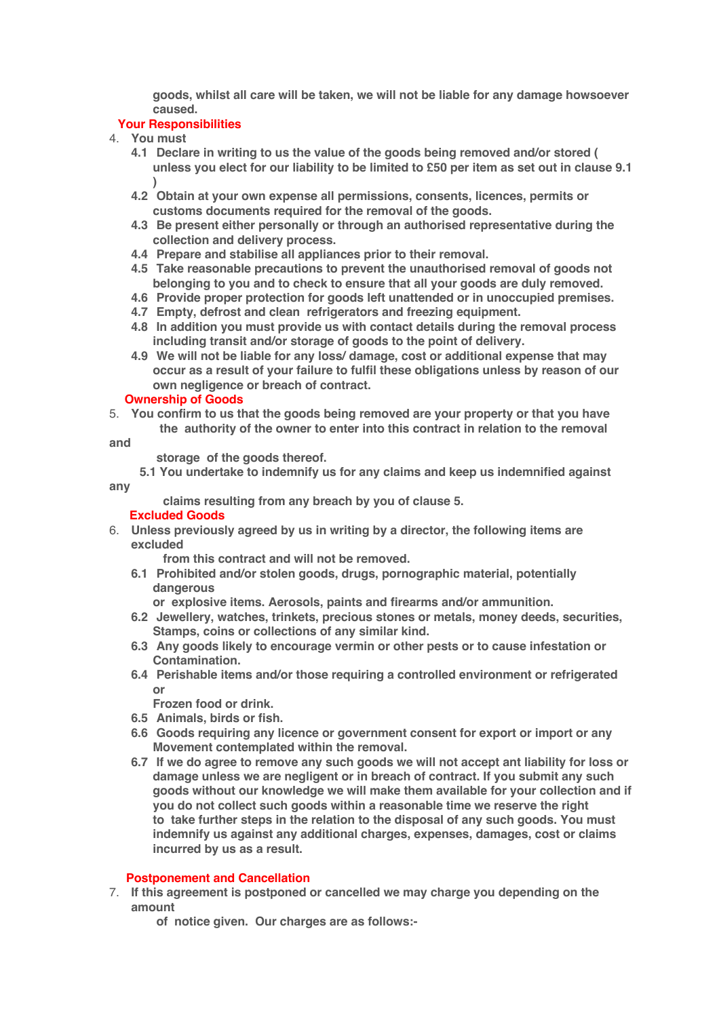**goods, whilst all care will be taken, we will not be liable for any damage howsoever caused.**

## **Your Responsibilities**

- 4. **You must**
	- **4.1 Declare in writing to us the value of the goods being removed and/or stored ( unless you elect for our liability to be limited to £50 per item as set out in clause 9.1 )**
	- **4.2 Obtain at your own expense all permissions, consents, licences, permits or customs documents required for the removal of the goods.**
	- **4.3 Be present either personally or through an authorised representative during the collection and delivery process.**
	- **4.4 Prepare and stabilise all appliances prior to their removal.**
	- **4.5 Take reasonable precautions to prevent the unauthorised removal of goods not belonging to you and to check to ensure that all your goods are duly removed.**
	- **4.6 Provide proper protection for goods left unattended or in unoccupied premises.**
	- **4.7 Empty, defrost and clean refrigerators and freezing equipment.**
	- **4.8 In addition you must provide us with contact details during the removal process including transit and/or storage of goods to the point of delivery.**
	- **4.9 We will not be liable for any loss/ damage, cost or additional expense that may occur as a result of your failure to fulfil these obligations unless by reason of our own negligence or breach of contract.**

#### **Ownership of Goods**

5. **You confirm to us that the goods being removed are your property or that you have the authority of the owner to enter into this contract in relation to the removal**

**and**

 **storage of the goods thereof.**

 **5.1 You undertake to indemnify us for any claims and keep us indemnified against any**

 **claims resulting from any breach by you of clause 5.**

## **Excluded Goods**

6. **Unless previously agreed by us in writing by a director, the following items are excluded**

 **from this contract and will not be removed.**

- **6.1 Prohibited and/or stolen goods, drugs, pornographic material, potentially dangerous**
	- **or explosive items. Aerosols, paints and firearms and/or ammunition.**
- **6.2 Jewellery, watches, trinkets, precious stones or metals, money deeds, securities, Stamps, coins or collections of any similar kind.**
- **6.3 Any goods likely to encourage vermin or other pests or to cause infestation or Contamination.**
- **6.4 Perishable items and/or those requiring a controlled environment or refrigerated or**

**Frozen food or drink.**

- **6.5 Animals, birds or fish.**
- **6.6 Goods requiring any licence or government consent for export or import or any Movement contemplated within the removal.**
- **6.7 If we do agree to remove any such goods we will not accept ant liability for loss or damage unless we are negligent or in breach of contract. If you submit any such goods without our knowledge we will make them available for your collection and if you do not collect such goods within a reasonable time we reserve the right to take further steps in the relation to the disposal of any such goods. You must indemnify us against any additional charges, expenses, damages, cost or claims incurred by us as a result.**

## **Postponement and Cancellation**

- 7. **If this agreement is postponed or cancelled we may charge you depending on the amount**
	- **of notice given. Our charges are as follows:-**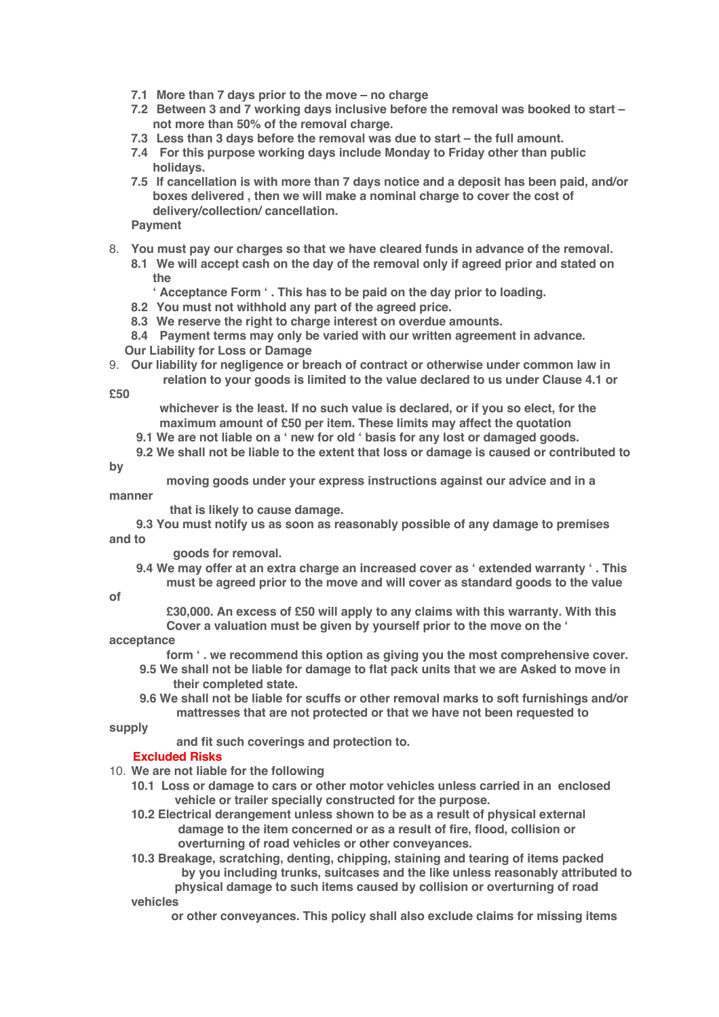- **7.1 More than 7 days prior to the move – no charge**
- **7.2 Between 3 and 7 working days inclusive before the removal was booked to start – not more than 50% of the removal charge.**
- **7.3 Less than 3 days before the removal was due to start – the full amount.**
- **7.4 For this purpose working days include Monday to Friday other than public holidays.**
- **7.5 If cancellation is with more than 7 days notice and a deposit has been paid, and/or boxes delivered , then we will make a nominal charge to cover the cost of delivery/collection/ cancellation.**

**Payment**

- 8. **You must pay our charges so that we have cleared funds in advance of the removal.**
	- **8.1 We will accept cash on the day of the removal only if agreed prior and stated on the**
		- **' Acceptance Form ' . This has to be paid on the day prior to loading.**
	- **8.2 You must not withhold any part of the agreed price.**
	- **8.3 We reserve the right to charge interest on overdue amounts.**

**8.4 Payment terms may only be varied with our written agreement in advance. Our Liability for Loss or Damage**

9. **Our liability for negligence or breach of contract or otherwise under common law in relation to your goods is limited to the value declared to us under Clause 4.1 or**

**£50**

- **whichever is the least. If no such value is declared, or if you so elect, for the maximum amount of £50 per item. These limits may affect the quotation**
- **9.1 We are not liable on a ' new for old ' basis for any lost or damaged goods.**
- **9.2 We shall not be liable to the extent that loss or damage is caused or contributed to**

**by**

 **moving goods under your express instructions against our advice and in a manner**

 **that is likely to cause damage.**

 **9.3 You must notify us as soon as reasonably possible of any damage to premises and to**

 **goods for removal.**

 **9.4 We may offer at an extra charge an increased cover as ' extended warranty ' . This must be agreed prior to the move and will cover as standard goods to the value**

#### **of**

 **£30,000. An excess of £50 will apply to any claims with this warranty. With this Cover a valuation must be given by yourself prior to the move on the '**

## **acceptance**

 **form ' . we recommend this option as giving you the most comprehensive cover.**

- **9.5 We shall not be liable for damage to flat pack units that we are Asked to move in their completed state.**
- **9.6 We shall not be liable for scuffs or other removal marks to soft furnishings and/or mattresses that are not protected or that we have not been requested to**

**supply**

 **and fit such coverings and protection to.**

## **Excluded Risks**

- 10. **We are not liable for the following**
	- **10.1 Loss or damage to cars or other motor vehicles unless carried in an enclosed vehicle or trailer specially constructed for the purpose.**
	- **10.2 Electrical derangement unless shown to be as a result of physical external damage to the item concerned or as a result of fire, flood, collision or overturning of road vehicles or other conveyances.**
	- **10.3 Breakage, scratching, denting, chipping, staining and tearing of items packed by you including trunks, suitcases and the like unless reasonably attributed to physical damage to such items caused by collision or overturning of road vehicles**

 **or other conveyances. This policy shall also exclude claims for missing items**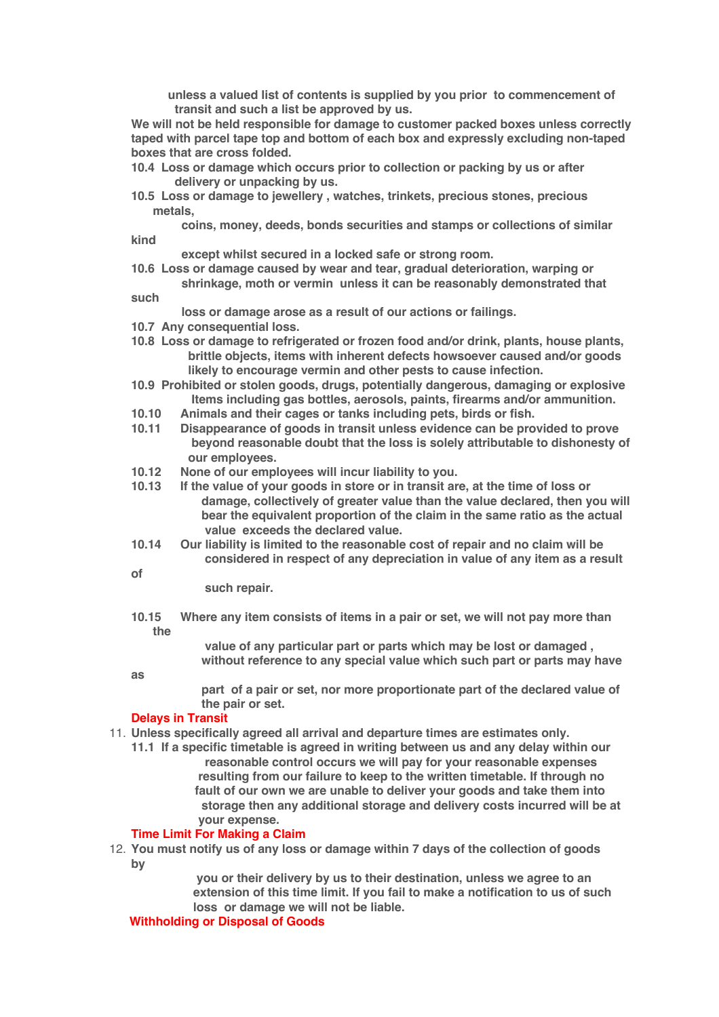**unless a valued list of contents is supplied by you prior to commencement of transit and such a list be approved by us.**

**We will not be held responsible for damage to customer packed boxes unless correctly taped with parcel tape top and bottom of each box and expressly excluding non-taped boxes that are cross folded.**

- **10.4 Loss or damage which occurs prior to collection or packing by us or after delivery or unpacking by us.**
- **10.5 Loss or damage to jewellery , watches, trinkets, precious stones, precious metals,**

 **coins, money, deeds, bonds securities and stamps or collections of similar kind**

 **except whilst secured in a locked safe or strong room.**

**10.6 Loss or damage caused by wear and tear, gradual deterioration, warping or shrinkage, moth or vermin unless it can be reasonably demonstrated that**

**such**

- **loss or damage arose as a result of our actions or failings.**
- **10.7 Any consequential loss.**
- **10.8 Loss or damage to refrigerated or frozen food and/or drink, plants, house plants, brittle objects, items with inherent defects howsoever caused and/or goods likely to encourage vermin and other pests to cause infection.**
- **10.9 Prohibited or stolen goods, drugs, potentially dangerous, damaging or explosive Items including gas bottles, aerosols, paints, firearms and/or ammunition.**
- **10.10 Animals and their cages or tanks including pets, birds or fish.**
- **10.11 Disappearance of goods in transit unless evidence can be provided to prove beyond reasonable doubt that the loss is solely attributable to dishonesty of our** employees.<br>10.12 **None of our employees**
- **10.12 None of our employees will incur liability to you.**
- **10.13 If the value of your goods in store or in transit are, at the time of loss or damage, collectively of greater value than the value declared, then you will bear the equivalent proportion of the claim in the same ratio as the actual value exceeds the declared value.**
- **10.14 Our liability is limited to the reasonable cost of repair and no claim will be considered in respect of any depreciation in value of any item as a result**
- **of**
- **such repair.**
- **10.15 Where any item consists of items in a pair or set, we will not pay more than the**

 **value of any particular part or parts which may be lost or damaged , without reference to any special value which such part or parts may have**

**as**

 **part of a pair or set, nor more proportionate part of the declared value of the pair or set.**

#### **Delays in Transit**

- 11. **Unless specifically agreed all arrival and departure times are estimates only.**
	- **11.1 If a specific timetable is agreed in writing between us and any delay within our reasonable control occurs we will pay for your reasonable expenses resulting from our failure to keep to the written timetable. If through no fault of our own we are unable to deliver your goods and take them into storage then any additional storage and delivery costs incurred will be at your expense.**

#### **Time Limit For Making a Claim**

12. **You must notify us of any loss or damage within 7 days of the collection of goods by** 

> **you or their delivery by us to their destination, unless we agree to an extension of this time limit. If you fail to make a notification to us of such loss or damage we will not be liable.**

#### **Withholding or Disposal of Goods**